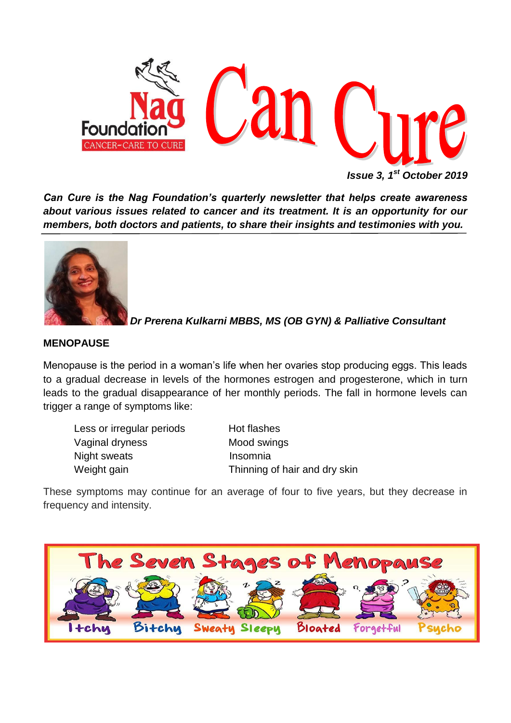

*Issue 3, 1st October 2019*

*Can Cure is the Nag Foundation's quarterly newsletter that helps create awareness about various issues related to cancer and its treatment. It is an opportunity for our members, both doctors and patients, to share their insights and testimonies with you.*



*Dr Prerena Kulkarni MBBS, MS (OB GYN) & Palliative Consultant*

# **MENOPAUSE**

Menopause is the period in a woman's life when her ovaries stop producing eggs. This leads to a gradual decrease in levels of the hormones estrogen and progesterone, which in turn leads to the gradual disappearance of her monthly periods. The fall in hormone levels can trigger a range of symptoms like:

Less or irregular periods Hot flashes Vaginal dryness Mood swings Night sweats **Insomnia** 

Weight gain Thinning of hair and dry skin

These symptoms may continue for an average of four to five years, but they decrease in frequency and intensity.

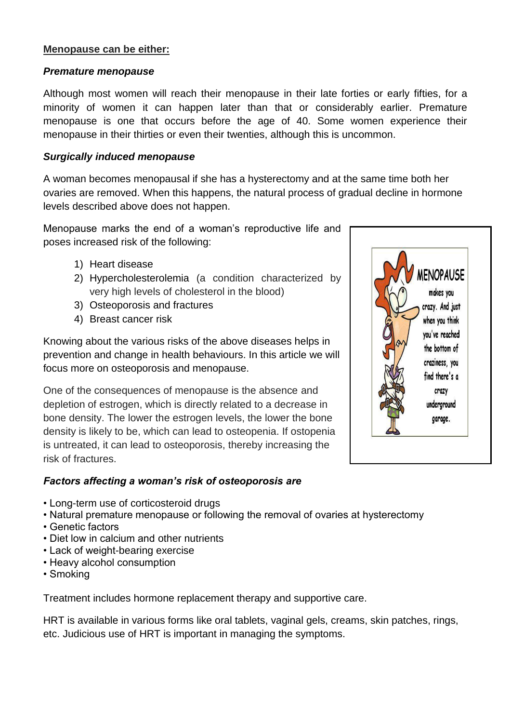#### **Menopause can be either:**

#### *Premature menopause*

Although most women will reach their menopause in their late forties or early fifties, for a minority of women it can happen later than that or considerably earlier. Premature menopause is one that occurs before the age of 40. Some women experience their menopause in their thirties or even their twenties, although this is uncommon.

#### *Surgically induced menopause*

A woman becomes menopausal if she has a hysterectomy and at the same time both her ovaries are removed. When this happens, the natural process of gradual decline in hormone levels described above does not happen.

Menopause marks the end of a woman's reproductive life and poses increased risk of the following:

- 1) Heart disease
- 2) Hypercholesterolemia (a condition characterized by very high levels of cholesterol in the blood)
- 3) Osteoporosis and fractures
- 4) Breast cancer risk

Knowing about the various risks of the above diseases helps in prevention and change in health behaviours. In this article we will focus more on osteoporosis and menopause.

One of the consequences of menopause is the absence and depletion of estrogen, which is directly related to a decrease in bone density. The lower the estrogen levels, the lower the bone density is likely to be, which can lead to osteopenia. If ostopenia is untreated, it can lead to osteoporosis, thereby increasing the risk of fractures.

# *Factors affecting a woman's risk of osteoporosis are*

- Long-term use of corticosteroid drugs
- Natural premature menopause or following the removal of ovaries at hysterectomy
- Genetic factors
- Diet low in calcium and other nutrients
- Lack of weight-bearing exercise
- Heavy alcohol consumption
- Smoking

Treatment includes hormone replacement therapy and supportive care.

HRT is available in various forms like oral tablets, vaginal gels, creams, skin patches, rings, etc. Judicious use of HRT is important in managing the symptoms.

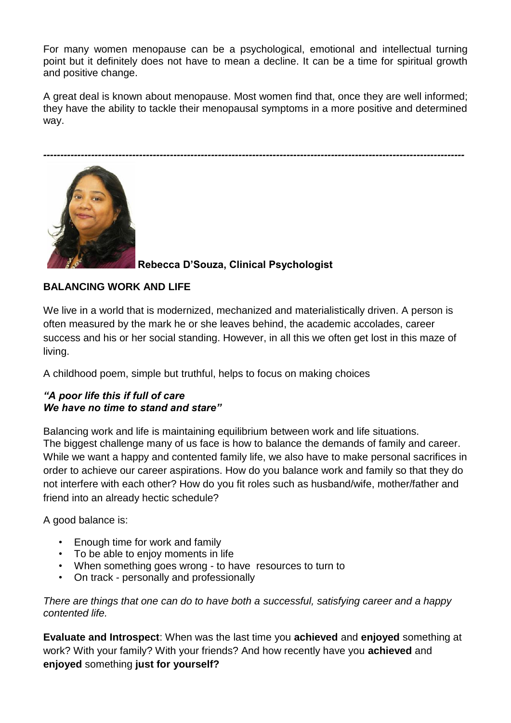For many women menopause can be a psychological, emotional and intellectual turning point but it definitely does not have to mean a decline. It can be a time for spiritual growth and positive change.

A great deal is known about menopause. Most women find that, once they are well informed; they have the ability to tackle their menopausal symptoms in a more positive and determined way.

*---------------------------------------------------------------------------------------------------------------------------*



# **Rebecca D'Souza, Clinical Psychologist**

# **BALANCING WORK AND LIFE**

We live in a world that is modernized, mechanized and materialistically driven. A person is often measured by the mark he or she leaves behind, the academic accolades, career success and his or her social standing. However, in all this we often get lost in this maze of living.

A childhood poem, simple but truthful, helps to focus on making choices

#### *"A poor life this if full of care We have no time to stand and stare"*

Balancing work and life is maintaining equilibrium between work and life situations. The biggest challenge many of us face is how to balance the demands of family and career. While we want a happy and contented family life, we also have to make personal sacrifices in order to achieve our career aspirations. How do you balance work and family so that they do not interfere with each other? How do you fit roles such as husband/wife, mother/father and friend into an already hectic schedule?

A good balance is:

- Enough time for work and family
- To be able to enjoy moments in life
- When something goes wrong to have resources to turn to
- On track personally and professionally

*There are things that one can do to have both a successful, satisfying career and a happy contented life.* 

**Evaluate and Introspect**: When was the last time you **achieved** and **enjoyed** something at work? With your family? With your friends? And how recently have you **achieved** and **enjoyed** something **just for yourself?**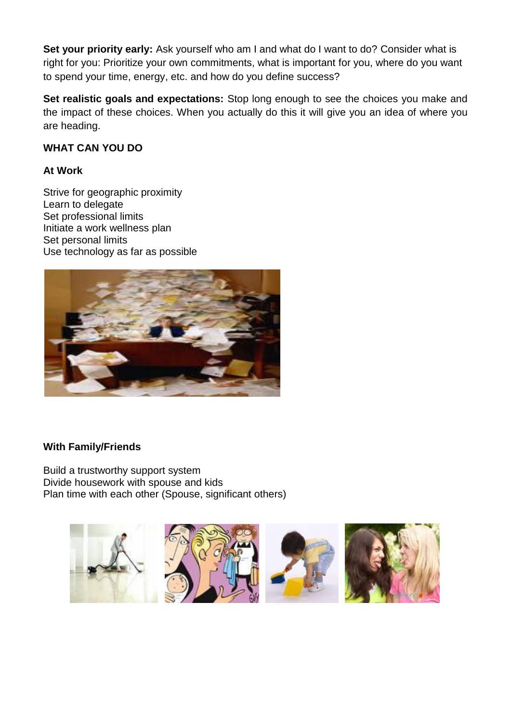**Set your priority early:** Ask yourself who am I and what do I want to do? Consider what is right for you: Prioritize your own commitments, what is important for you, where do you want to spend your time, energy, etc. and how do you define success?

**Set realistic goals and expectations:** Stop long enough to see the choices you make and the impact of these choices. When you actually do this it will give you an idea of where you are heading.

# **WHAT CAN YOU DO**

# **At Work**

Strive for geographic proximity Learn to delegate Set professional limits Initiate a work wellness plan Set personal limits Use technology as far as possible



# **With Family/Friends**

Build a trustworthy support system Divide housework with spouse and kids Plan time with each other (Spouse, significant others)

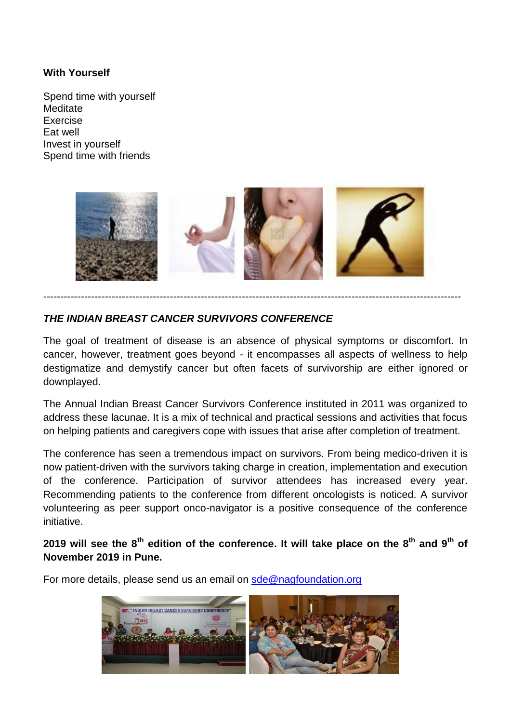#### **With Yourself**

Spend time with yourself **Meditate** Exercise Eat well Invest in yourself Spend time with friends



--------------------------------------------------------------------------------------------------------------------------

# *THE INDIAN BREAST CANCER SURVIVORS CONFERENCE*

The goal of treatment of disease is an absence of physical symptoms or discomfort. In cancer, however, treatment goes beyond - it encompasses all aspects of wellness to help destigmatize and demystify cancer but often facets of survivorship are either ignored or downplayed.

The Annual Indian Breast Cancer Survivors Conference instituted in 2011 was organized to address these lacunae. It is a mix of technical and practical sessions and activities that focus on helping patients and caregivers cope with issues that arise after completion of treatment.

The conference has seen a tremendous impact on survivors. From being medico-driven it is now patient-driven with the survivors taking charge in creation, implementation and execution of the conference. Participation of survivor attendees has increased every year. Recommending patients to the conference from different oncologists is noticed. A survivor volunteering as peer support onco-navigator is a positive consequence of the conference initiative.

**2019 will see the 8th edition of the conference. It will take place on the 8th and 9th of November 2019 in Pune.**

For more details, please send us an email on [sde@nagfoundation.org](mailto:sde@nagfoundation.org)

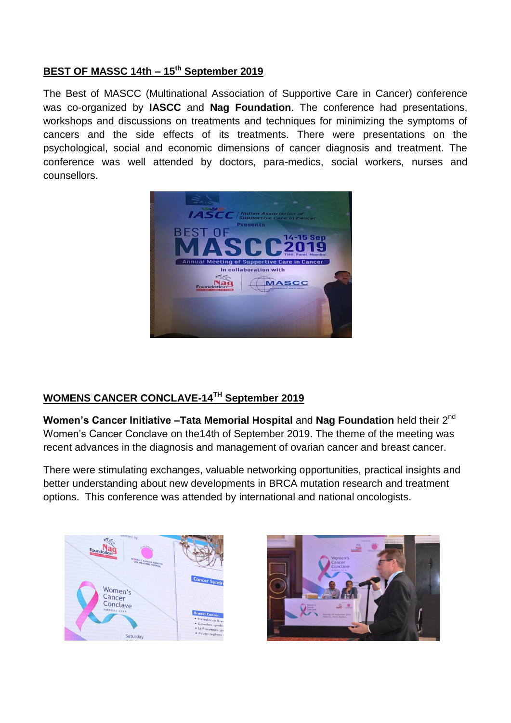# **BEST OF MASSC 14th – 15th September 2019**

The Best of MASCC (Multinational Association of Supportive Care in Cancer) conference was co-organized by **IASCC** and **Nag Foundation**. The conference had presentations, workshops and discussions on treatments and techniques for minimizing the symptoms of cancers and the side effects of its treatments. There were presentations on the psychological, social and economic dimensions of cancer diagnosis and treatment. The conference was well attended by doctors, para-medics, social workers, nurses and counsellors.



# **WOMENS CANCER CONCLAVE-14TH September 2019**

**Women's Cancer Initiative –Tata Memorial Hospital and Nag Foundation held their 2<sup>nd</sup>** Women's Cancer Conclave on the14th of September 2019. The theme of the meeting was recent advances in the diagnosis and management of ovarian cancer and breast cancer.

There were stimulating exchanges, valuable networking opportunities, practical insights and better understanding about new developments in BRCA mutation research and treatment options. This conference was attended by international and national oncologists.